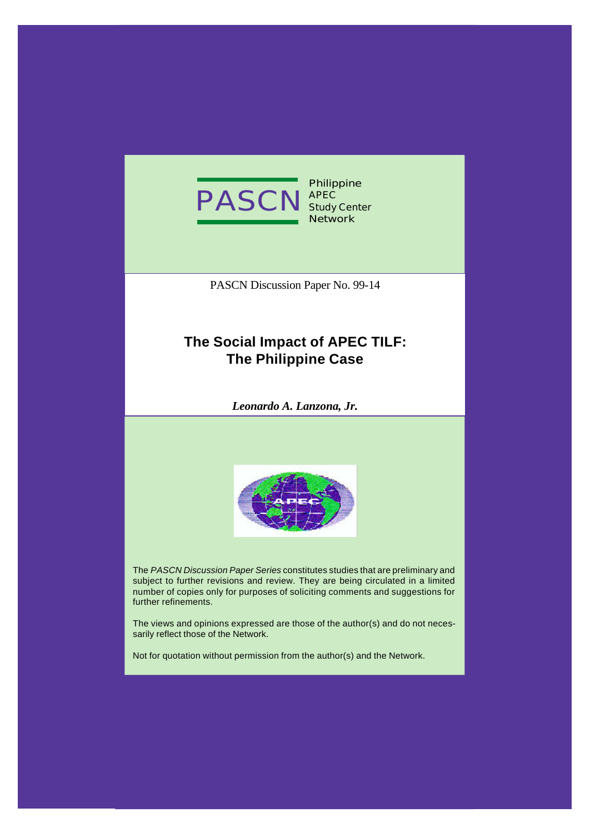

**Philippine APEC Study Center Network**

PASCN Discussion Paper No. 99-14

## **The Social Impact of APEC TILF: The Philippine Case**

*Leonardo A. Lanzona, Jr.*



The *PASCN Discussion Paper Series* constitutes studies that are preliminary and subject to further revisions and review. They are being circulated in a limited number of copies only for purposes of soliciting comments and suggestions for further refinements.

The views and opinions expressed are those of the author(s) and do not necessarily reflect those of the Network.

Not for quotation without permission from the author(s) and the Network.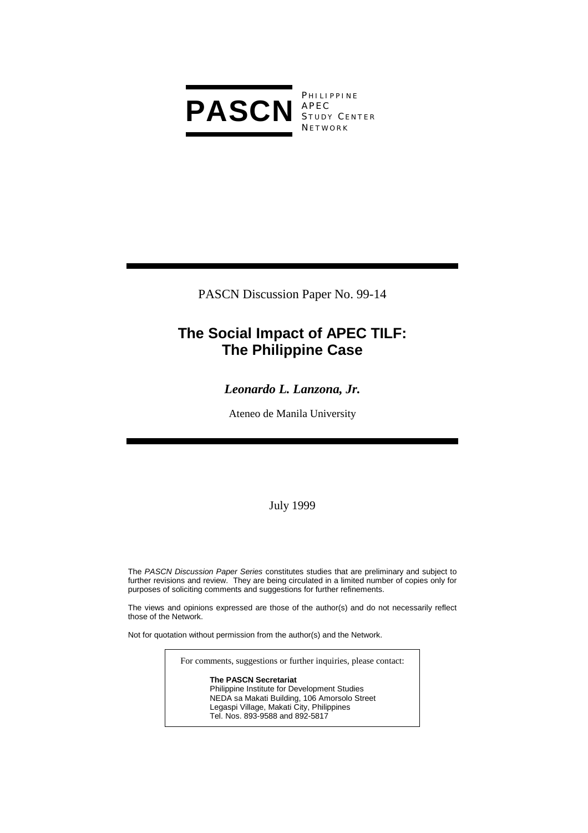

**PHILIPPINE** S TUDY C ENTER **NETWORK** 

PASCN Discussion Paper No. 99-14

# **The Social Impact of APEC TILF: The Philippine Case**

## *Leonardo L. Lanzona, Jr.*

Ateneo de Manila University

July 1999

The *PASCN Discussion Paper Series* constitutes studies that are preliminary and subject to further revisions and review. They are being circulated in a limited number of copies only for purposes of soliciting comments and suggestions for further refinements.

The views and opinions expressed are those of the author(s) and do not necessarily reflect those of the Network.

Not for quotation without permission from the author(s) and the Network.

For comments, suggestions or further inquiries, please contact: **The PASCN Secretariat** Philippine Institute for Development Studies NEDA sa Makati Building, 106 Amorsolo Street Legaspi Village, Makati City, Philippines Tel. Nos. 893-9588 and 892-5817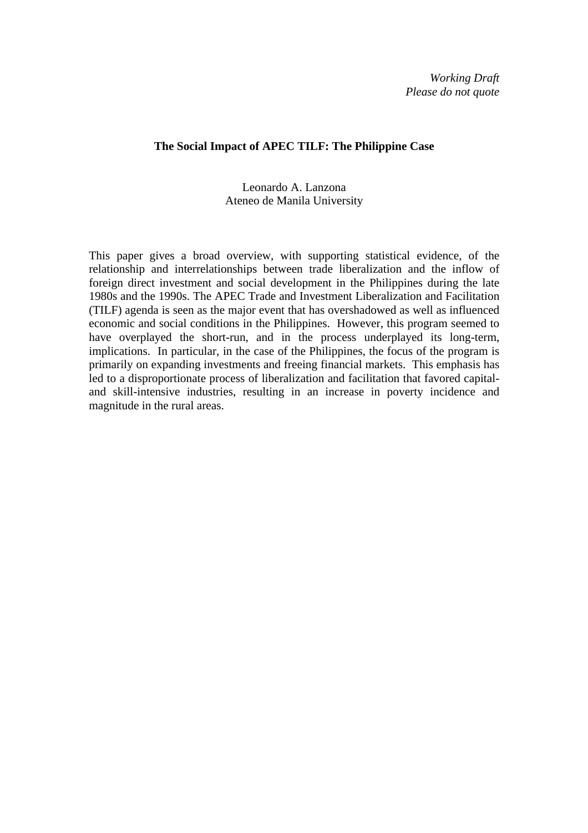### **The Social Impact of APEC TILF: The Philippine Case**

## Leonardo A. Lanzona Ateneo de Manila University

This paper gives a broad overview, with supporting statistical evidence, of the relationship and interrelationships between trade liberalization and the inflow of foreign direct investment and social development in the Philippines during the late 1980s and the 1990s. The APEC Trade and Investment Liberalization and Facilitation (TILF) agenda is seen as the major event that has overshadowed as well as influenced economic and social conditions in the Philippines. However, this program seemed to have overplayed the short-run, and in the process underplayed its long-term, implications. In particular, in the case of the Philippines, the focus of the program is primarily on expanding investments and freeing financial markets. This emphasis has led to a disproportionate process of liberalization and facilitation that favored capitaland skill-intensive industries, resulting in an increase in poverty incidence and magnitude in the rural areas.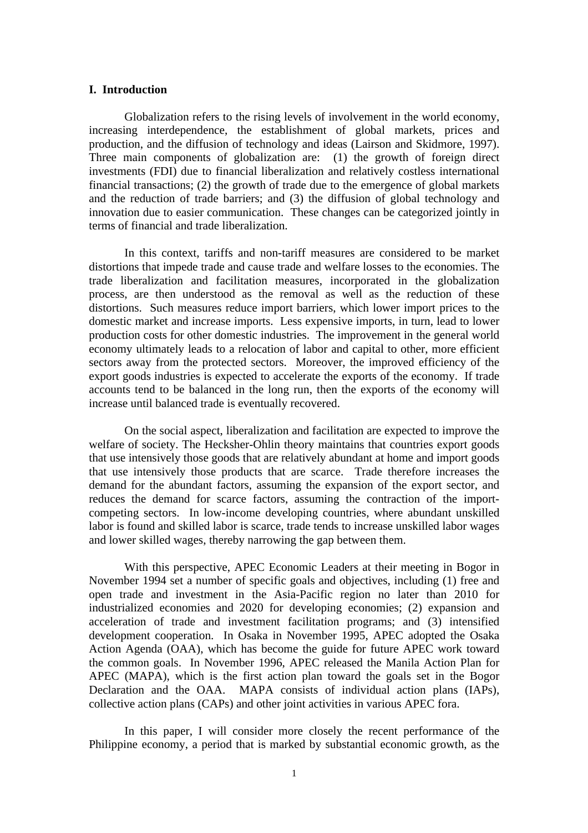#### **I. Introduction**

Globalization refers to the rising levels of involvement in the world economy, increasing interdependence, the establishment of global markets, prices and production, and the diffusion of technology and ideas (Lairson and Skidmore, 1997). Three main components of globalization are: (1) the growth of foreign direct investments (FDI) due to financial liberalization and relatively costless international financial transactions; (2) the growth of trade due to the emergence of global markets and the reduction of trade barriers; and (3) the diffusion of global technology and innovation due to easier communication. These changes can be categorized jointly in terms of financial and trade liberalization.

In this context, tariffs and non-tariff measures are considered to be market distortions that impede trade and cause trade and welfare losses to the economies. The trade liberalization and facilitation measures, incorporated in the globalization process, are then understood as the removal as well as the reduction of these distortions. Such measures reduce import barriers, which lower import prices to the domestic market and increase imports. Less expensive imports, in turn, lead to lower production costs for other domestic industries. The improvement in the general world economy ultimately leads to a relocation of labor and capital to other, more efficient sectors away from the protected sectors. Moreover, the improved efficiency of the export goods industries is expected to accelerate the exports of the economy. If trade accounts tend to be balanced in the long run, then the exports of the economy will increase until balanced trade is eventually recovered.

On the social aspect, liberalization and facilitation are expected to improve the welfare of society. The Hecksher-Ohlin theory maintains that countries export goods that use intensively those goods that are relatively abundant at home and import goods that use intensively those products that are scarce. Trade therefore increases the demand for the abundant factors, assuming the expansion of the export sector, and reduces the demand for scarce factors, assuming the contraction of the importcompeting sectors. In low-income developing countries, where abundant unskilled labor is found and skilled labor is scarce, trade tends to increase unskilled labor wages and lower skilled wages, thereby narrowing the gap between them.

With this perspective, APEC Economic Leaders at their meeting in Bogor in November 1994 set a number of specific goals and objectives, including (1) free and open trade and investment in the Asia-Pacific region no later than 2010 for industrialized economies and 2020 for developing economies; (2) expansion and acceleration of trade and investment facilitation programs; and (3) intensified development cooperation. In Osaka in November 1995, APEC adopted the Osaka Action Agenda (OAA), which has become the guide for future APEC work toward the common goals. In November 1996, APEC released the Manila Action Plan for APEC (MAPA), which is the first action plan toward the goals set in the Bogor Declaration and the OAA. MAPA consists of individual action plans (IAPs), collective action plans (CAPs) and other joint activities in various APEC fora.

In this paper, I will consider more closely the recent performance of the Philippine economy, a period that is marked by substantial economic growth, as the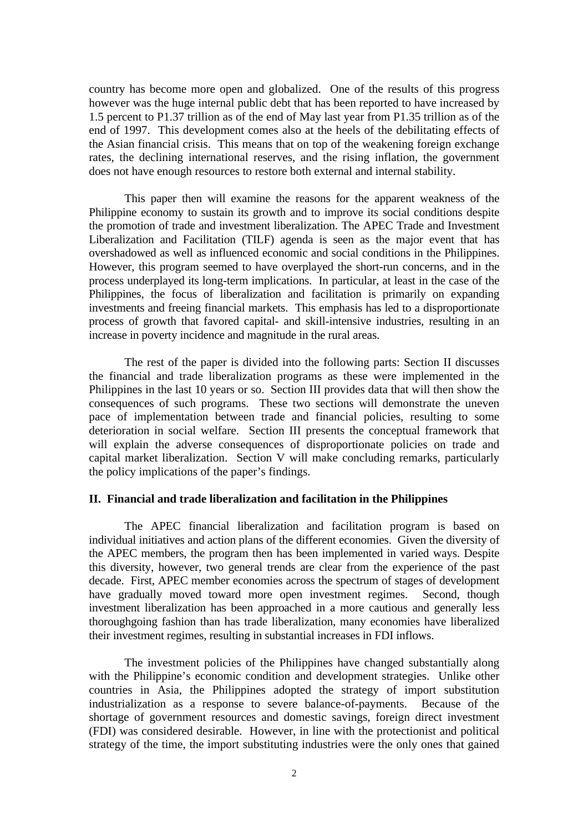country has become more open and globalized. One of the results of this progress however was the huge internal public debt that has been reported to have increased by 1.5 percent to P1.37 trillion as of the end of May last year from P1.35 trillion as of the end of 1997. This development comes also at the heels of the debilitating effects of the Asian financial crisis. This means that on top of the weakening foreign exchange rates, the declining international reserves, and the rising inflation, the government does not have enough resources to restore both external and internal stability.

This paper then will examine the reasons for the apparent weakness of the Philippine economy to sustain its growth and to improve its social conditions despite the promotion of trade and investment liberalization. The APEC Trade and Investment Liberalization and Facilitation (TILF) agenda is seen as the major event that has overshadowed as well as influenced economic and social conditions in the Philippines. However, this program seemed to have overplayed the short-run concerns, and in the process underplayed its long-term implications. In particular, at least in the case of the Philippines, the focus of liberalization and facilitation is primarily on expanding investments and freeing financial markets. This emphasis has led to a disproportionate process of growth that favored capital- and skill-intensive industries, resulting in an increase in poverty incidence and magnitude in the rural areas.

The rest of the paper is divided into the following parts: Section II discusses the financial and trade liberalization programs as these were implemented in the Philippines in the last 10 years or so. Section III provides data that will then show the consequences of such programs. These two sections will demonstrate the uneven pace of implementation between trade and financial policies, resulting to some deterioration in social welfare. Section III presents the conceptual framework that will explain the adverse consequences of disproportionate policies on trade and capital market liberalization. Section V will make concluding remarks, particularly the policy implications of the paper's findings.

#### **II. Financial and trade liberalization and facilitation in the Philippines**

The APEC financial liberalization and facilitation program is based on individual initiatives and action plans of the different economies. Given the diversity of the APEC members, the program then has been implemented in varied ways. Despite this diversity, however, two general trends are clear from the experience of the past decade. First, APEC member economies across the spectrum of stages of development have gradually moved toward more open investment regimes. Second, though investment liberalization has been approached in a more cautious and generally less thoroughgoing fashion than has trade liberalization, many economies have liberalized their investment regimes, resulting in substantial increases in FDI inflows.

The investment policies of the Philippines have changed substantially along with the Philippine's economic condition and development strategies. Unlike other countries in Asia, the Philippines adopted the strategy of import substitution industrialization as a response to severe balance-of-payments. Because of the shortage of government resources and domestic savings, foreign direct investment (FDI) was considered desirable. However, in line with the protectionist and political strategy of the time, the import substituting industries were the only ones that gained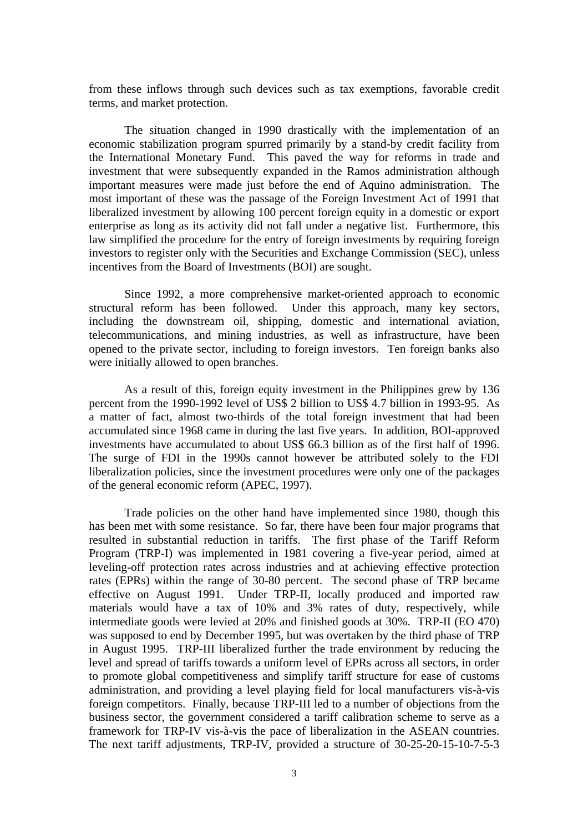from these inflows through such devices such as tax exemptions, favorable credit terms, and market protection.

The situation changed in 1990 drastically with the implementation of an economic stabilization program spurred primarily by a stand-by credit facility from the International Monetary Fund. This paved the way for reforms in trade and investment that were subsequently expanded in the Ramos administration although important measures were made just before the end of Aquino administration. The most important of these was the passage of the Foreign Investment Act of 1991 that liberalized investment by allowing 100 percent foreign equity in a domestic or export enterprise as long as its activity did not fall under a negative list. Furthermore, this law simplified the procedure for the entry of foreign investments by requiring foreign investors to register only with the Securities and Exchange Commission (SEC), unless incentives from the Board of Investments (BOI) are sought.

Since 1992, a more comprehensive market-oriented approach to economic structural reform has been followed. Under this approach, many key sectors, including the downstream oil, shipping, domestic and international aviation, telecommunications, and mining industries, as well as infrastructure, have been opened to the private sector, including to foreign investors. Ten foreign banks also were initially allowed to open branches.

As a result of this, foreign equity investment in the Philippines grew by 136 percent from the 1990-1992 level of US\$ 2 billion to US\$ 4.7 billion in 1993-95. As a matter of fact, almost two-thirds of the total foreign investment that had been accumulated since 1968 came in during the last five years. In addition, BOI-approved investments have accumulated to about US\$ 66.3 billion as of the first half of 1996. The surge of FDI in the 1990s cannot however be attributed solely to the FDI liberalization policies, since the investment procedures were only one of the packages of the general economic reform (APEC, 1997).

Trade policies on the other hand have implemented since 1980, though this has been met with some resistance. So far, there have been four major programs that resulted in substantial reduction in tariffs. The first phase of the Tariff Reform Program (TRP-I) was implemented in 1981 covering a five-year period, aimed at leveling-off protection rates across industries and at achieving effective protection rates (EPRs) within the range of 30-80 percent. The second phase of TRP became effective on August 1991. Under TRP-II, locally produced and imported raw materials would have a tax of 10% and 3% rates of duty, respectively, while intermediate goods were levied at 20% and finished goods at 30%. TRP-II (EO 470) was supposed to end by December 1995, but was overtaken by the third phase of TRP in August 1995. TRP-III liberalized further the trade environment by reducing the level and spread of tariffs towards a uniform level of EPRs across all sectors, in order to promote global competitiveness and simplify tariff structure for ease of customs administration, and providing a level playing field for local manufacturers vis-à-vis foreign competitors. Finally, because TRP-III led to a number of objections from the business sector, the government considered a tariff calibration scheme to serve as a framework for TRP-IV vis-à-vis the pace of liberalization in the ASEAN countries. The next tariff adjustments, TRP-IV, provided a structure of 30-25-20-15-10-7-5-3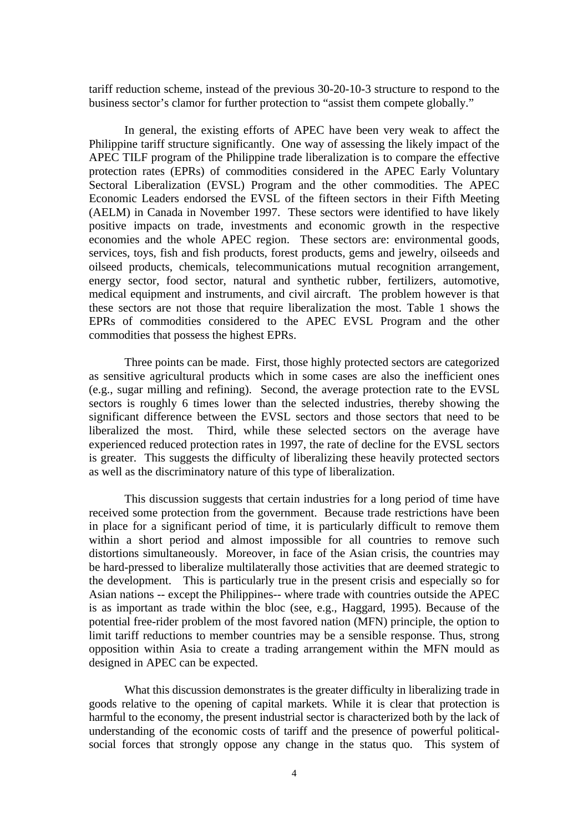tariff reduction scheme, instead of the previous 30-20-10-3 structure to respond to the business sector's clamor for further protection to "assist them compete globally."

In general, the existing efforts of APEC have been very weak to affect the Philippine tariff structure significantly. One way of assessing the likely impact of the APEC TILF program of the Philippine trade liberalization is to compare the effective protection rates (EPRs) of commodities considered in the APEC Early Voluntary Sectoral Liberalization (EVSL) Program and the other commodities. The APEC Economic Leaders endorsed the EVSL of the fifteen sectors in their Fifth Meeting (AELM) in Canada in November 1997. These sectors were identified to have likely positive impacts on trade, investments and economic growth in the respective economies and the whole APEC region. These sectors are: environmental goods, services, toys, fish and fish products, forest products, gems and jewelry, oilseeds and oilseed products, chemicals, telecommunications mutual recognition arrangement, energy sector, food sector, natural and synthetic rubber, fertilizers, automotive, medical equipment and instruments, and civil aircraft. The problem however is that these sectors are not those that require liberalization the most. Table 1 shows the EPRs of commodities considered to the APEC EVSL Program and the other commodities that possess the highest EPRs.

Three points can be made. First, those highly protected sectors are categorized as sensitive agricultural products which in some cases are also the inefficient ones (e.g., sugar milling and refining). Second, the average protection rate to the EVSL sectors is roughly 6 times lower than the selected industries, thereby showing the significant difference between the EVSL sectors and those sectors that need to be liberalized the most. Third, while these selected sectors on the average have experienced reduced protection rates in 1997, the rate of decline for the EVSL sectors is greater. This suggests the difficulty of liberalizing these heavily protected sectors as well as the discriminatory nature of this type of liberalization.

This discussion suggests that certain industries for a long period of time have received some protection from the government. Because trade restrictions have been in place for a significant period of time, it is particularly difficult to remove them within a short period and almost impossible for all countries to remove such distortions simultaneously. Moreover, in face of the Asian crisis, the countries may be hard-pressed to liberalize multilaterally those activities that are deemed strategic to the development. This is particularly true in the present crisis and especially so for Asian nations -- except the Philippines-- where trade with countries outside the APEC is as important as trade within the bloc (see, e.g., Haggard, 1995). Because of the potential free-rider problem of the most favored nation (MFN) principle, the option to limit tariff reductions to member countries may be a sensible response. Thus, strong opposition within Asia to create a trading arrangement within the MFN mould as designed in APEC can be expected.

What this discussion demonstrates is the greater difficulty in liberalizing trade in goods relative to the opening of capital markets. While it is clear that protection is harmful to the economy, the present industrial sector is characterized both by the lack of understanding of the economic costs of tariff and the presence of powerful politicalsocial forces that strongly oppose any change in the status quo. This system of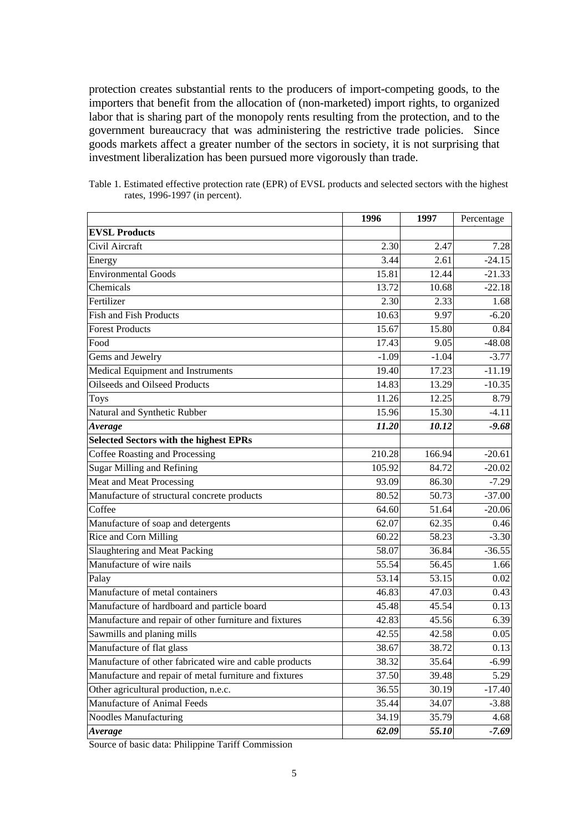protection creates substantial rents to the producers of import-competing goods, to the importers that benefit from the allocation of (non-marketed) import rights, to organized labor that is sharing part of the monopoly rents resulting from the protection, and to the government bureaucracy that was administering the restrictive trade policies. Since goods markets affect a greater number of the sectors in society, it is not surprising that investment liberalization has been pursued more vigorously than trade.

|                                                         | 1996              | 1997    | Percentage |
|---------------------------------------------------------|-------------------|---------|------------|
| <b>EVSL Products</b>                                    |                   |         |            |
| Civil Aircraft                                          | $\overline{2.30}$ | 2.47    | 7.28       |
| Energy                                                  | 3.44              | 2.61    | $-24.15$   |
| <b>Environmental Goods</b>                              | 15.81             | 12.44   | $-21.33$   |
| Chemicals                                               | 13.72             | 10.68   | $-22.18$   |
| Fertilizer                                              | 2.30              | 2.33    | 1.68       |
| Fish and Fish Products                                  | 10.63             | 9.97    | $-6.20$    |
| <b>Forest Products</b>                                  | 15.67             | 15.80   | 0.84       |
| Food                                                    | 17.43             | 9.05    | $-48.08$   |
| Gems and Jewelry                                        | $-1.09$           | $-1.04$ | $-3.77$    |
| Medical Equipment and Instruments                       | 19.40             | 17.23   | $-11.19$   |
| Oilseeds and Oilseed Products                           | 14.83             | 13.29   | $-10.35$   |
| <b>Toys</b>                                             | 11.26             | 12.25   | 8.79       |
| Natural and Synthetic Rubber                            | 15.96             | 15.30   | $-4.11$    |
| Average                                                 | 11.20             | 10.12   | $-9.68$    |
| <b>Selected Sectors with the highest EPRs</b>           |                   |         |            |
| Coffee Roasting and Processing                          | 210.28            | 166.94  | $-20.61$   |
| <b>Sugar Milling and Refining</b>                       | 105.92            | 84.72   | $-20.02$   |
| Meat and Meat Processing                                | 93.09             | 86.30   | $-7.29$    |
| Manufacture of structural concrete products             | 80.52             | 50.73   | $-37.00$   |
| Coffee                                                  | 64.60             | 51.64   | $-20.06$   |
| Manufacture of soap and detergents                      | 62.07             | 62.35   | 0.46       |
| Rice and Corn Milling                                   | 60.22             | 58.23   | $-3.30$    |
| Slaughtering and Meat Packing                           | 58.07             | 36.84   | $-36.55$   |
| Manufacture of wire nails                               | 55.54             | 56.45   | 1.66       |
| Palay                                                   | 53.14             | 53.15   | 0.02       |
| Manufacture of metal containers                         | 46.83             | 47.03   | 0.43       |
| Manufacture of hardboard and particle board             | 45.48             | 45.54   | 0.13       |
| Manufacture and repair of other furniture and fixtures  | 42.83             | 45.56   | 6.39       |
| Sawmills and planing mills                              | 42.55             | 42.58   | 0.05       |
| Manufacture of flat glass                               | 38.67             | 38.72   | 0.13       |
| Manufacture of other fabricated wire and cable products | 38.32             | 35.64   | $-6.99$    |
| Manufacture and repair of metal furniture and fixtures  | 37.50             | 39.48   | 5.29       |
| Other agricultural production, n.e.c.                   | 36.55             | 30.19   | $-17.40$   |
| Manufacture of Animal Feeds                             | 35.44             | 34.07   | $-3.88$    |
| Noodles Manufacturing                                   | 34.19             | 35.79   | 4.68       |
| Average                                                 | 62.09             | 55.10   | $-7.69$    |

Table 1. Estimated effective protection rate (EPR) of EVSL products and selected sectors with the highest rates, 1996-1997 (in percent).

Source of basic data: Philippine Tariff Commission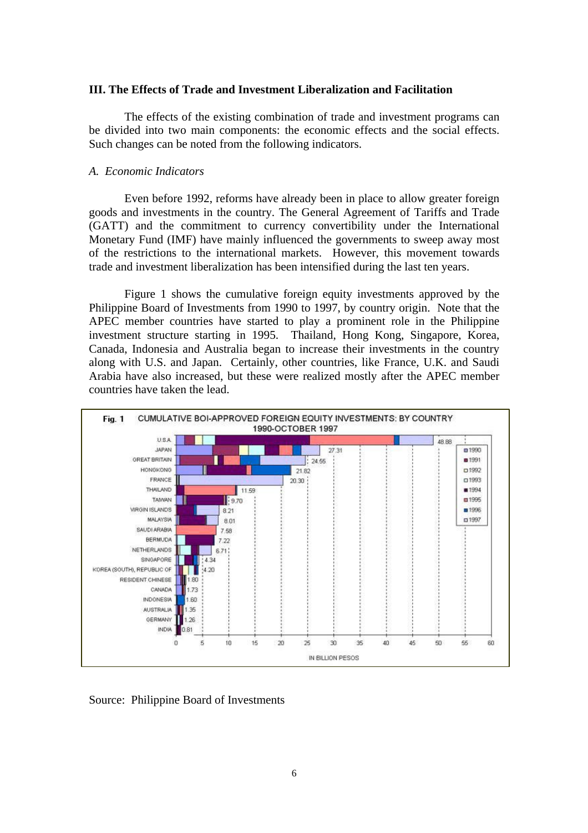#### **III. The Effects of Trade and Investment Liberalization and Facilitation**

The effects of the existing combination of trade and investment programs can be divided into two main components: the economic effects and the social effects. Such changes can be noted from the following indicators.

#### *A. Economic Indicators*

Even before 1992, reforms have already been in place to allow greater foreign goods and investments in the country. The General Agreement of Tariffs and Trade (GATT) and the commitment to currency convertibility under the International Monetary Fund (IMF) have mainly influenced the governments to sweep away most of the restrictions to the international markets. However, this movement towards trade and investment liberalization has been intensified during the last ten years.

Figure 1 shows the cumulative foreign equity investments approved by the Philippine Board of Investments from 1990 to 1997, by country origin. Note that the APEC member countries have started to play a prominent role in the Philippine investment structure starting in 1995. Thailand, Hong Kong, Singapore, Korea, Canada, Indonesia and Australia began to increase their investments in the country along with U.S. and Japan. Certainly, other countries, like France, U.K. and Saudi Arabia have also increased, but these were realized mostly after the APEC member countries have taken the lead.



Source: Philippine Board of Investments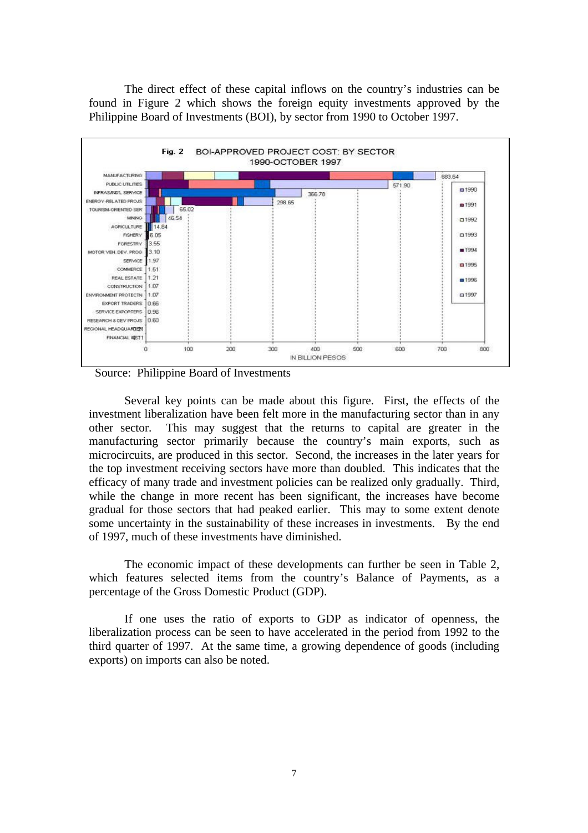The direct effect of these capital inflows on the country's industries can be found in Figure 2 which shows the foreign equity investments approved by the Philippine Board of Investments (BOI), by sector from 1990 to October 1997.



Source: Philippine Board of Investments

Several key points can be made about this figure. First, the effects of the investment liberalization have been felt more in the manufacturing sector than in any other sector. This may suggest that the returns to capital are greater in the manufacturing sector primarily because the country's main exports, such as microcircuits, are produced in this sector. Second, the increases in the later years for the top investment receiving sectors have more than doubled. This indicates that the efficacy of many trade and investment policies can be realized only gradually. Third, while the change in more recent has been significant, the increases have become gradual for those sectors that had peaked earlier. This may to some extent denote some uncertainty in the sustainability of these increases in investments. By the end of 1997, much of these investments have diminished.

The economic impact of these developments can further be seen in Table 2, which features selected items from the country's Balance of Payments, as a percentage of the Gross Domestic Product (GDP).

If one uses the ratio of exports to GDP as indicator of openness, the liberalization process can be seen to have accelerated in the period from 1992 to the third quarter of 1997. At the same time, a growing dependence of goods (including exports) on imports can also be noted.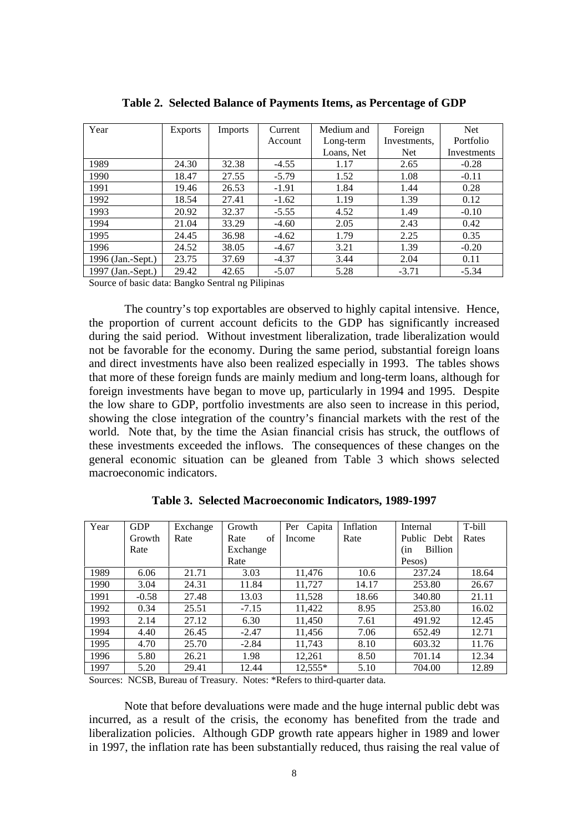| Year              | Exports | Imports | Current | Medium and | Foreign      | Net.        |
|-------------------|---------|---------|---------|------------|--------------|-------------|
|                   |         |         | Account | Long-term  | Investments. | Portfolio   |
|                   |         |         |         | Loans, Net | <b>Net</b>   | Investments |
| 1989              | 24.30   | 32.38   | $-4.55$ | 1.17       | 2.65         | $-0.28$     |
| 1990              | 18.47   | 27.55   | $-5.79$ | 1.52       | 1.08         | $-0.11$     |
| 1991              | 19.46   | 26.53   | $-1.91$ | 1.84       | 1.44         | 0.28        |
| 1992              | 18.54   | 27.41   | $-1.62$ | 1.19       | 1.39         | 0.12        |
| 1993              | 20.92   | 32.37   | $-5.55$ | 4.52       | 1.49         | $-0.10$     |
| 1994              | 21.04   | 33.29   | $-4.60$ | 2.05       | 2.43         | 0.42        |
| 1995              | 24.45   | 36.98   | $-4.62$ | 1.79       | 2.25         | 0.35        |
| 1996              | 24.52   | 38.05   | $-4.67$ | 3.21       | 1.39         | $-0.20$     |
| 1996 (Jan.-Sept.) | 23.75   | 37.69   | $-4.37$ | 3.44       | 2.04         | 0.11        |
| 1997 (Jan.-Sept.) | 29.42   | 42.65   | $-5.07$ | 5.28       | $-3.71$      | $-5.34$     |

**Table 2. Selected Balance of Payments Items, as Percentage of GDP**

Source of basic data: Bangko Sentral ng Pilipinas

The country's top exportables are observed to highly capital intensive. Hence, the proportion of current account deficits to the GDP has significantly increased during the said period. Without investment liberalization, trade liberalization would not be favorable for the economy. During the same period, substantial foreign loans and direct investments have also been realized especially in 1993. The tables shows that more of these foreign funds are mainly medium and long-term loans, although for foreign investments have began to move up, particularly in 1994 and 1995. Despite the low share to GDP, portfolio investments are also seen to increase in this period, showing the close integration of the country's financial markets with the rest of the world. Note that, by the time the Asian financial crisis has struck, the outflows of these investments exceeded the inflows. The consequences of these changes on the general economic situation can be gleaned from Table 3 which shows selected macroeconomic indicators.

| Year | <b>GDP</b> | Exchange | Growth     | Per Capita | Inflation | Internal              | T-bill |
|------|------------|----------|------------|------------|-----------|-----------------------|--------|
|      | Growth     | Rate     | of<br>Rate | Income     | Rate      | Public Debt           | Rates  |
|      | Rate       |          | Exchange   |            |           | <b>Billion</b><br>(in |        |
|      |            |          | Rate       |            |           | Pesos)                |        |
| 1989 | 6.06       | 21.71    | 3.03       | 11,476     | 10.6      | 237.24                | 18.64  |
| 1990 | 3.04       | 24.31    | 11.84      | 11,727     | 14.17     | 253.80                | 26.67  |
| 1991 | $-0.58$    | 27.48    | 13.03      | 11,528     | 18.66     | 340.80                | 21.11  |
| 1992 | 0.34       | 25.51    | $-7.15$    | 11,422     | 8.95      | 253.80                | 16.02  |
| 1993 | 2.14       | 27.12    | 6.30       | 11,450     | 7.61      | 491.92                | 12.45  |
| 1994 | 4.40       | 26.45    | $-2.47$    | 11,456     | 7.06      | 652.49                | 12.71  |
| 1995 | 4.70       | 25.70    | $-2.84$    | 11,743     | 8.10      | 603.32                | 11.76  |
| 1996 | 5.80       | 26.21    | 1.98       | 12,261     | 8.50      | 701.14                | 12.34  |
| 1997 | 5.20       | 29.41    | 12.44      | 12,555*    | 5.10      | 704.00                | 12.89  |

**Table 3. Selected Macroeconomic Indicators, 1989-1997**

Sources: NCSB, Bureau of Treasury. Notes: \*Refers to third-quarter data.

Note that before devaluations were made and the huge internal public debt was incurred, as a result of the crisis, the economy has benefited from the trade and liberalization policies. Although GDP growth rate appears higher in 1989 and lower in 1997, the inflation rate has been substantially reduced, thus raising the real value of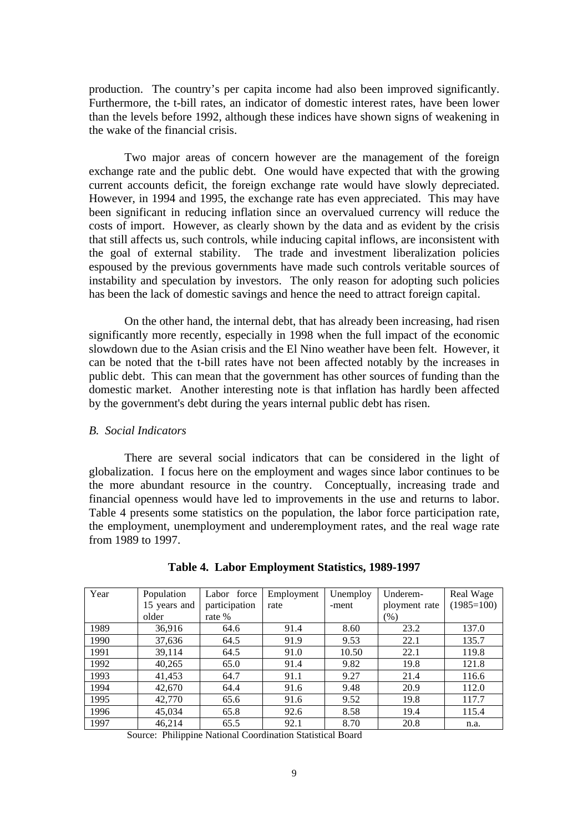production. The country's per capita income had also been improved significantly. Furthermore, the t-bill rates, an indicator of domestic interest rates, have been lower than the levels before 1992, although these indices have shown signs of weakening in the wake of the financial crisis.

Two major areas of concern however are the management of the foreign exchange rate and the public debt. One would have expected that with the growing current accounts deficit, the foreign exchange rate would have slowly depreciated. However, in 1994 and 1995, the exchange rate has even appreciated. This may have been significant in reducing inflation since an overvalued currency will reduce the costs of import. However, as clearly shown by the data and as evident by the crisis that still affects us, such controls, while inducing capital inflows, are inconsistent with the goal of external stability. The trade and investment liberalization policies espoused by the previous governments have made such controls veritable sources of instability and speculation by investors. The only reason for adopting such policies has been the lack of domestic savings and hence the need to attract foreign capital.

On the other hand, the internal debt, that has already been increasing, had risen significantly more recently, especially in 1998 when the full impact of the economic slowdown due to the Asian crisis and the El Nino weather have been felt. However, it can be noted that the t-bill rates have not been affected notably by the increases in public debt. This can mean that the government has other sources of funding than the domestic market. Another interesting note is that inflation has hardly been affected by the government's debt during the years internal public debt has risen.

### *B. Social Indicators*

There are several social indicators that can be considered in the light of globalization. I focus here on the employment and wages since labor continues to be the more abundant resource in the country. Conceptually, increasing trade and financial openness would have led to improvements in the use and returns to labor. Table 4 presents some statistics on the population, the labor force participation rate, the employment, unemployment and underemployment rates, and the real wage rate from 1989 to 1997.

| Year | Population   | Labor force   | Employment | Unemploy | Underem-      | Real Wage    |
|------|--------------|---------------|------------|----------|---------------|--------------|
|      | 15 years and | participation | rate       | -ment    | ployment rate | $(1985=100)$ |
|      | older        | rate %        |            |          | $(\%)$        |              |
| 1989 | 36,916       | 64.6          | 91.4       | 8.60     | 23.2          | 137.0        |
| 1990 | 37,636       | 64.5          | 91.9       | 9.53     | 22.1          | 135.7        |
| 1991 | 39,114       | 64.5          | 91.0       | 10.50    | 22.1          | 119.8        |
| 1992 | 40,265       | 65.0          | 91.4       | 9.82     | 19.8          | 121.8        |
| 1993 | 41,453       | 64.7          | 91.1       | 9.27     | 21.4          | 116.6        |
| 1994 | 42,670       | 64.4          | 91.6       | 9.48     | 20.9          | 112.0        |
| 1995 | 42,770       | 65.6          | 91.6       | 9.52     | 19.8          | 117.7        |
| 1996 | 45,034       | 65.8          | 92.6       | 8.58     | 19.4          | 115.4        |
| 1997 | 46,214       | 65.5          | 92.1       | 8.70     | 20.8          | n.a.         |

**Table 4. Labor Employment Statistics, 1989-1997**

Source: Philippine National Coordination Statistical Board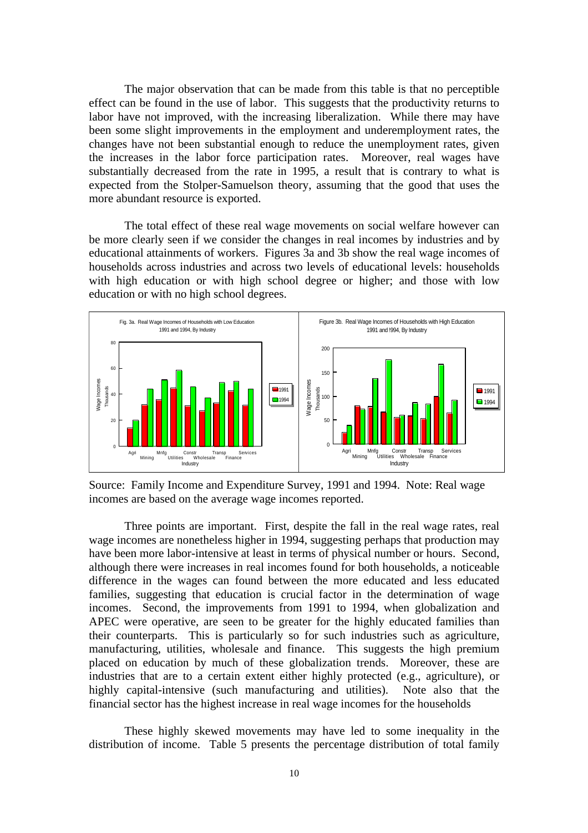The major observation that can be made from this table is that no perceptible effect can be found in the use of labor. This suggests that the productivity returns to labor have not improved, with the increasing liberalization. While there may have been some slight improvements in the employment and underemployment rates, the changes have not been substantial enough to reduce the unemployment rates, given the increases in the labor force participation rates. Moreover, real wages have substantially decreased from the rate in 1995, a result that is contrary to what is expected from the Stolper-Samuelson theory, assuming that the good that uses the more abundant resource is exported.

The total effect of these real wage movements on social welfare however can be more clearly seen if we consider the changes in real incomes by industries and by educational attainments of workers. Figures 3a and 3b show the real wage incomes of households across industries and across two levels of educational levels: households with high education or with high school degree or higher; and those with low education or with no high school degrees.



Source: Family Income and Expenditure Survey, 1991 and 1994. Note: Real wage incomes are based on the average wage incomes reported.

Three points are important. First, despite the fall in the real wage rates, real wage incomes are nonetheless higher in 1994, suggesting perhaps that production may have been more labor-intensive at least in terms of physical number or hours. Second, although there were increases in real incomes found for both households, a noticeable difference in the wages can found between the more educated and less educated families, suggesting that education is crucial factor in the determination of wage incomes. Second, the improvements from 1991 to 1994, when globalization and APEC were operative, are seen to be greater for the highly educated families than their counterparts. This is particularly so for such industries such as agriculture, manufacturing, utilities, wholesale and finance. This suggests the high premium placed on education by much of these globalization trends. Moreover, these are industries that are to a certain extent either highly protected (e.g., agriculture), or highly capital-intensive (such manufacturing and utilities). Note also that the financial sector has the highest increase in real wage incomes for the households

These highly skewed movements may have led to some inequality in the distribution of income. Table 5 presents the percentage distribution of total family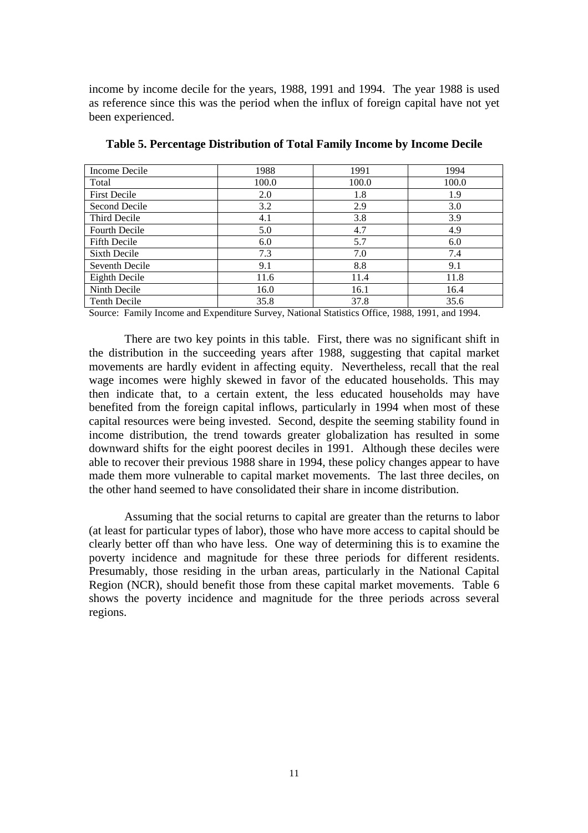income by income decile for the years, 1988, 1991 and 1994. The year 1988 is used as reference since this was the period when the influx of foreign capital have not yet been experienced.

| Income Decile        | 1988  | 1991  | 1994  |
|----------------------|-------|-------|-------|
| Total                | 100.0 | 100.0 | 100.0 |
| <b>First Decile</b>  | 2.0   | 1.8   | 1.9   |
| Second Decile        | 3.2   | 2.9   | 3.0   |
| Third Decile         | 4.1   | 3.8   | 3.9   |
| <b>Fourth Decile</b> | 5.0   | 4.7   | 4.9   |
| <b>Fifth Decile</b>  | 6.0   | 5.7   | 6.0   |
| Sixth Decile         | 7.3   | 7.0   | 7.4   |
| Seventh Decile       | 9.1   | 8.8   | 9.1   |
| Eighth Decile        | 11.6  | 11.4  | 11.8  |
| Ninth Decile         | 16.0  | 16.1  | 16.4  |
| <b>Tenth Decile</b>  | 35.8  | 37.8  | 35.6  |

**Table 5. Percentage Distribution of Total Family Income by Income Decile**

Source: Family Income and Expenditure Survey, National Statistics Office, 1988, 1991, and 1994.

There are two key points in this table. First, there was no significant shift in the distribution in the succeeding years after 1988, suggesting that capital market movements are hardly evident in affecting equity. Nevertheless, recall that the real wage incomes were highly skewed in favor of the educated households. This may then indicate that, to a certain extent, the less educated households may have benefited from the foreign capital inflows, particularly in 1994 when most of these capital resources were being invested. Second, despite the seeming stability found in income distribution, the trend towards greater globalization has resulted in some downward shifts for the eight poorest deciles in 1991. Although these deciles were able to recover their previous 1988 share in 1994, these policy changes appear to have made them more vulnerable to capital market movements. The last three deciles, on the other hand seemed to have consolidated their share in income distribution.

Assuming that the social returns to capital are greater than the returns to labor (at least for particular types of labor), those who have more access to capital should be clearly better off than who have less. One way of determining this is to examine the poverty incidence and magnitude for these three periods for different residents. Presumably, those residing in the urban areas, particularly in the National Capital Region (NCR), should benefit those from these capital market movements. Table 6 shows the poverty incidence and magnitude for the three periods across several regions.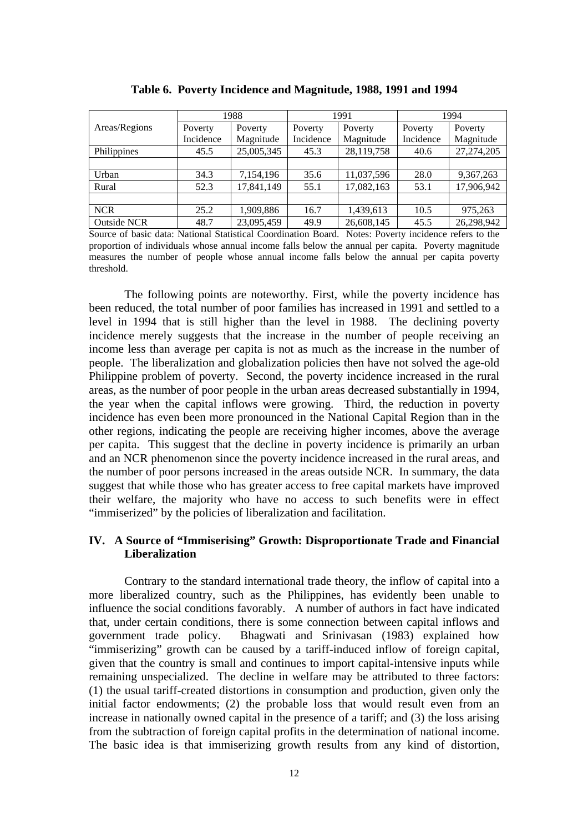|                    | 1988      |            | 1991      |            | 1994      |            |
|--------------------|-----------|------------|-----------|------------|-----------|------------|
| Areas/Regions      | Poverty   | Poverty    | Poverty   | Poverty    | Poverty   | Poverty    |
|                    | Incidence | Magnitude  | Incidence | Magnitude  | Incidence | Magnitude  |
| Philippines        | 45.5      | 25,005,345 | 45.3      | 28,119,758 | 40.6      | 27,274,205 |
|                    |           |            |           |            |           |            |
| Urban              | 34.3      | 7,154,196  | 35.6      | 11,037,596 | 28.0      | 9,367,263  |
| Rural              | 52.3      | 17,841,149 | 55.1      | 17,082,163 | 53.1      | 17,906,942 |
|                    |           |            |           |            |           |            |
| <b>NCR</b>         | 25.2      | 1,909,886  | 16.7      | 1,439,613  | 10.5      | 975,263    |
| <b>Outside NCR</b> | 48.7      | 23,095,459 | 49.9      | 26,608,145 | 45.5      | 26,298,942 |

**Table 6. Poverty Incidence and Magnitude, 1988, 1991 and 1994**

Source of basic data: National Statistical Coordination Board. Notes: Poverty incidence refers to the proportion of individuals whose annual income falls below the annual per capita. Poverty magnitude measures the number of people whose annual income falls below the annual per capita poverty threshold.

The following points are noteworthy. First, while the poverty incidence has been reduced, the total number of poor families has increased in 1991 and settled to a level in 1994 that is still higher than the level in 1988. The declining poverty incidence merely suggests that the increase in the number of people receiving an income less than average per capita is not as much as the increase in the number of people. The liberalization and globalization policies then have not solved the age-old Philippine problem of poverty. Second, the poverty incidence increased in the rural areas, as the number of poor people in the urban areas decreased substantially in 1994, the year when the capital inflows were growing. Third, the reduction in poverty incidence has even been more pronounced in the National Capital Region than in the other regions, indicating the people are receiving higher incomes, above the average per capita. This suggest that the decline in poverty incidence is primarily an urban and an NCR phenomenon since the poverty incidence increased in the rural areas, and the number of poor persons increased in the areas outside NCR. In summary, the data suggest that while those who has greater access to free capital markets have improved their welfare, the majority who have no access to such benefits were in effect "immiserized" by the policies of liberalization and facilitation.

## **IV. A Source of "Immiserising" Growth: Disproportionate Trade and Financial Liberalization**

Contrary to the standard international trade theory, the inflow of capital into a more liberalized country, such as the Philippines, has evidently been unable to influence the social conditions favorably. A number of authors in fact have indicated that, under certain conditions, there is some connection between capital inflows and government trade policy. Bhagwati and Srinivasan (1983) explained how "immiserizing" growth can be caused by a tariff-induced inflow of foreign capital, given that the country is small and continues to import capital-intensive inputs while remaining unspecialized. The decline in welfare may be attributed to three factors: (1) the usual tariff-created distortions in consumption and production, given only the initial factor endowments; (2) the probable loss that would result even from an increase in nationally owned capital in the presence of a tariff; and (3) the loss arising from the subtraction of foreign capital profits in the determination of national income. The basic idea is that immiserizing growth results from any kind of distortion,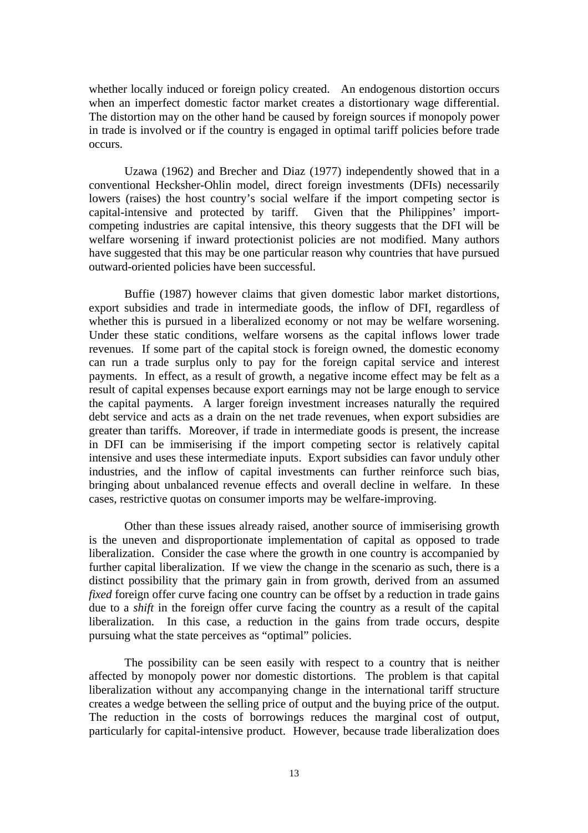whether locally induced or foreign policy created. An endogenous distortion occurs when an imperfect domestic factor market creates a distortionary wage differential. The distortion may on the other hand be caused by foreign sources if monopoly power in trade is involved or if the country is engaged in optimal tariff policies before trade occurs.

Uzawa (1962) and Brecher and Diaz (1977) independently showed that in a conventional Hecksher-Ohlin model, direct foreign investments (DFIs) necessarily lowers (raises) the host country's social welfare if the import competing sector is capital-intensive and protected by tariff. Given that the Philippines' importcompeting industries are capital intensive, this theory suggests that the DFI will be welfare worsening if inward protectionist policies are not modified. Many authors have suggested that this may be one particular reason why countries that have pursued outward-oriented policies have been successful.

Buffie (1987) however claims that given domestic labor market distortions, export subsidies and trade in intermediate goods, the inflow of DFI, regardless of whether this is pursued in a liberalized economy or not may be welfare worsening. Under these static conditions, welfare worsens as the capital inflows lower trade revenues. If some part of the capital stock is foreign owned, the domestic economy can run a trade surplus only to pay for the foreign capital service and interest payments. In effect, as a result of growth, a negative income effect may be felt as a result of capital expenses because export earnings may not be large enough to service the capital payments. A larger foreign investment increases naturally the required debt service and acts as a drain on the net trade revenues, when export subsidies are greater than tariffs. Moreover, if trade in intermediate goods is present, the increase in DFI can be immiserising if the import competing sector is relatively capital intensive and uses these intermediate inputs. Export subsidies can favor unduly other industries, and the inflow of capital investments can further reinforce such bias, bringing about unbalanced revenue effects and overall decline in welfare. In these cases, restrictive quotas on consumer imports may be welfare-improving.

Other than these issues already raised, another source of immiserising growth is the uneven and disproportionate implementation of capital as opposed to trade liberalization. Consider the case where the growth in one country is accompanied by further capital liberalization. If we view the change in the scenario as such, there is a distinct possibility that the primary gain in from growth, derived from an assumed *fixed* foreign offer curve facing one country can be offset by a reduction in trade gains due to a *shift* in the foreign offer curve facing the country as a result of the capital liberalization. In this case, a reduction in the gains from trade occurs, despite pursuing what the state perceives as "optimal" policies.

The possibility can be seen easily with respect to a country that is neither affected by monopoly power nor domestic distortions. The problem is that capital liberalization without any accompanying change in the international tariff structure creates a wedge between the selling price of output and the buying price of the output. The reduction in the costs of borrowings reduces the marginal cost of output, particularly for capital-intensive product. However, because trade liberalization does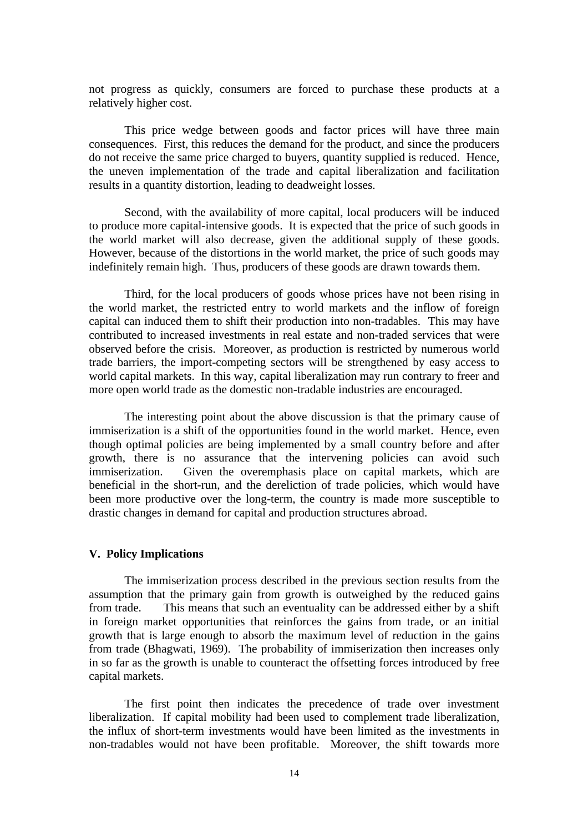not progress as quickly, consumers are forced to purchase these products at a relatively higher cost.

This price wedge between goods and factor prices will have three main consequences. First, this reduces the demand for the product, and since the producers do not receive the same price charged to buyers, quantity supplied is reduced. Hence, the uneven implementation of the trade and capital liberalization and facilitation results in a quantity distortion, leading to deadweight losses.

Second, with the availability of more capital, local producers will be induced to produce more capital-intensive goods. It is expected that the price of such goods in the world market will also decrease, given the additional supply of these goods. However, because of the distortions in the world market, the price of such goods may indefinitely remain high. Thus, producers of these goods are drawn towards them.

Third, for the local producers of goods whose prices have not been rising in the world market, the restricted entry to world markets and the inflow of foreign capital can induced them to shift their production into non-tradables. This may have contributed to increased investments in real estate and non-traded services that were observed before the crisis. Moreover, as production is restricted by numerous world trade barriers, the import-competing sectors will be strengthened by easy access to world capital markets. In this way, capital liberalization may run contrary to freer and more open world trade as the domestic non-tradable industries are encouraged.

The interesting point about the above discussion is that the primary cause of immiserization is a shift of the opportunities found in the world market. Hence, even though optimal policies are being implemented by a small country before and after growth, there is no assurance that the intervening policies can avoid such immiserization. Given the overemphasis place on capital markets, which are beneficial in the short-run, and the dereliction of trade policies, which would have been more productive over the long-term, the country is made more susceptible to drastic changes in demand for capital and production structures abroad.

#### **V. Policy Implications**

The immiserization process described in the previous section results from the assumption that the primary gain from growth is outweighed by the reduced gains from trade. This means that such an eventuality can be addressed either by a shift in foreign market opportunities that reinforces the gains from trade, or an initial growth that is large enough to absorb the maximum level of reduction in the gains from trade (Bhagwati, 1969). The probability of immiserization then increases only in so far as the growth is unable to counteract the offsetting forces introduced by free capital markets.

The first point then indicates the precedence of trade over investment liberalization. If capital mobility had been used to complement trade liberalization, the influx of short-term investments would have been limited as the investments in non-tradables would not have been profitable. Moreover, the shift towards more